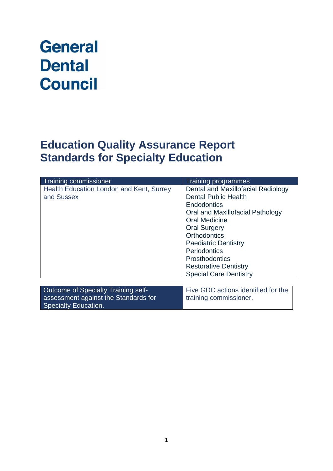# **General Dental Council**

# **Education Quality Assurance Report Standards for Specialty Education**

| Training commissioner                                                                                      | <b>Training programmes</b>                                                                                                                                                                                                                                                                                                                 |
|------------------------------------------------------------------------------------------------------------|--------------------------------------------------------------------------------------------------------------------------------------------------------------------------------------------------------------------------------------------------------------------------------------------------------------------------------------------|
| Health Education London and Kent, Surrey<br>and Sussex                                                     | Dental and Maxillofacial Radiology<br><b>Dental Public Health</b><br><b>Endodontics</b><br>Oral and Maxillofacial Pathology<br><b>Oral Medicine</b><br><b>Oral Surgery</b><br><b>Orthodontics</b><br><b>Paediatric Dentistry</b><br>Periodontics<br><b>Prosthodontics</b><br><b>Restorative Dentistry</b><br><b>Special Care Dentistry</b> |
| Outcome of Specialty Training self-<br>assessment against the Standards for<br><b>Specialty Education.</b> | Five GDC actions identified for the<br>training commissioner.                                                                                                                                                                                                                                                                              |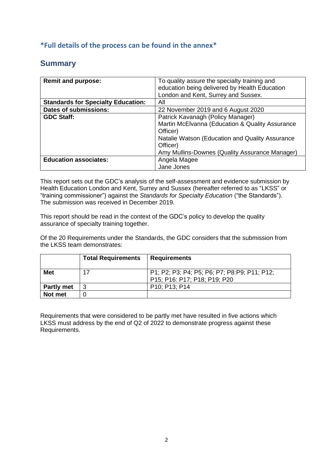### **\*Full details of the process can be found in the annex\***

# **Summary**

| <b>Remit and purpose:</b>                 | To quality assure the specialty training and    |
|-------------------------------------------|-------------------------------------------------|
|                                           | education being delivered by Health Education   |
|                                           | London and Kent, Surrey and Sussex.             |
| <b>Standards for Specialty Education:</b> | All                                             |
| <b>Dates of submissions:</b>              | 22 November 2019 and 6 August 2020              |
| <b>GDC Staff:</b>                         | Patrick Kavanagh (Policy Manager)               |
|                                           | Martin McElvanna (Education & Quality Assurance |
|                                           | Officer)                                        |
|                                           | Natalie Watson (Education and Quality Assurance |
|                                           | Officer)                                        |
|                                           | Amy Mullins-Downes (Quality Assurance Manager)  |
| <b>Education associates:</b>              | Angela Magee                                    |
|                                           | Jane Jones                                      |

This report sets out the GDC's analysis of the self-assessment and evidence submission by Health Education London and Kent, Surrey and Sussex (hereafter referred to as "LKSS" or "training commissioner") against the *Standards for Specialty Education* ("the Standards"). The submission was received in December 2019.

This report should be read in the context of the GDC's policy to develop the quality assurance of specialty training together.

Of the 20 Requirements under the Standards, the GDC considers that the submission from the LKSS team demonstrates:

|                   | <b>Total Requirements</b> | <b>Requirements</b>                                                          |
|-------------------|---------------------------|------------------------------------------------------------------------------|
| <b>Met</b>        | 17                        | P1; P2; P3; P4; P5; P6; P7; P8:P9; P11; P12;<br>P15; P16: P17; P18; P19; P20 |
| <b>Partly met</b> | 3                         | P <sub>10</sub> : P <sub>13</sub> : P <sub>14</sub>                          |
| Not met           |                           |                                                                              |

Requirements that were considered to be partly met have resulted in five actions which LKSS must address by the end of Q2 of 2022 to demonstrate progress against these Requirements.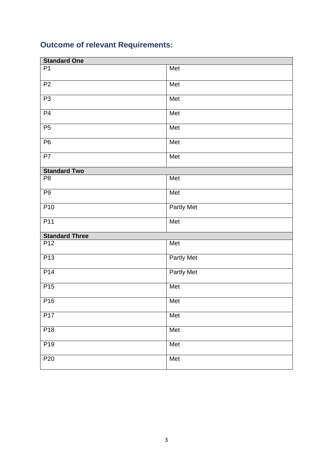# **Outcome of relevant Requirements:**

| <b>Standard One</b>   |                   |  |
|-----------------------|-------------------|--|
| P <sub>1</sub>        | Met               |  |
| P <sub>2</sub>        | Met               |  |
| P3                    | Met               |  |
| P <sub>4</sub>        | Met               |  |
| P5                    | Met               |  |
| P <sub>6</sub>        | Met               |  |
| P7                    | Met               |  |
| <b>Standard Two</b>   |                   |  |
| P <sub>8</sub>        | Met               |  |
| P <sub>9</sub>        | Met               |  |
| P <sub>10</sub>       | <b>Partly Met</b> |  |
| P11                   | Met               |  |
| <b>Standard Three</b> |                   |  |
| P <sub>12</sub>       | Met               |  |
| P <sub>13</sub>       | Partly Met        |  |
| P14                   | Partly Met        |  |
| P <sub>15</sub>       | Met               |  |
| P <sub>16</sub>       | Met               |  |
| P17                   | Met               |  |
| P18                   | Met               |  |
| P <sub>19</sub>       | Met               |  |
| P <sub>20</sub>       | Met               |  |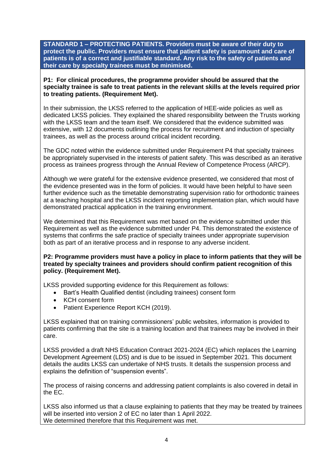**STANDARD 1 – PROTECTING PATIENTS. Providers must be aware of their duty to protect the public. Providers must ensure that patient safety is paramount and care of patients is of a correct and justifiable standard. Any risk to the safety of patients and their care by specialty trainees must be minimised.**

**P1: For clinical procedures, the programme provider should be assured that the specialty trainee is safe to treat patients in the relevant skills at the levels required prior to treating patients. (Requirement Met).**

In their submission, the LKSS referred to the application of HEE-wide policies as well as dedicated LKSS policies. They explained the shared responsibility between the Trusts working with the LKSS team and the team itself. We considered that the evidence submitted was extensive, with 12 documents outlining the process for recruitment and induction of specialty trainees, as well as the process around critical incident recording.

The GDC noted within the evidence submitted under Requirement P4 that specialty trainees be appropriately supervised in the interests of patient safety. This was described as an iterative process as trainees progress through the Annual Review of Competence Process (ARCP).

Although we were grateful for the extensive evidence presented, we considered that most of the evidence presented was in the form of policies. It would have been helpful to have seen further evidence such as the timetable demonstrating supervision ratio for orthodontic trainees at a teaching hospital and the LKSS incident reporting implementation plan, which would have demonstrated practical application in the training environment.

We determined that this Requirement was met based on the evidence submitted under this Requirement as well as the evidence submitted under P4. This demonstrated the existence of systems that confirms the safe practice of specialty trainees under appropriate supervision both as part of an iterative process and in response to any adverse incident.

**P2: Programme providers must have a policy in place to inform patients that they will be treated by specialty trainees and providers should confirm patient recognition of this policy. (Requirement Met).**

LKSS provided supporting evidence for this Requirement as follows:

- Bart's Health Qualified dentist (including trainees) consent form
- KCH consent form
- Patient Experience Report KCH (2019).

LKSS explained that on training commissioners' public websites, information is provided to patients confirming that the site is a training location and that trainees may be involved in their care.

LKSS provided a draft NHS Education Contract 2021-2024 (EC) which replaces the Learning Development Agreement (LDS) and is due to be issued in September 2021. This document details the audits LKSS can undertake of NHS trusts. It details the suspension process and explains the definition of "suspension events".

The process of raising concerns and addressing patient complaints is also covered in detail in the EC.

LKSS also informed us that a clause explaining to patients that they may be treated by trainees will be inserted into version 2 of EC no later than 1 April 2022. We determined therefore that this Requirement was met.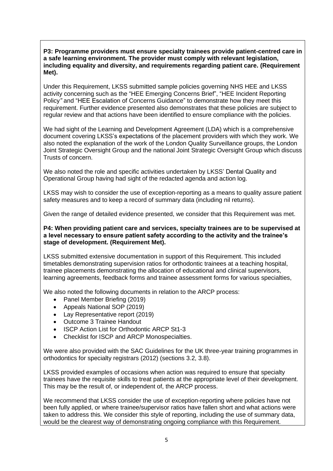#### **P3: Programme providers must ensure specialty trainees provide patient-centred care in a safe learning environment. The provider must comply with relevant legislation, including equality and diversity, and requirements regarding patient care. (Requirement Met).**

Under this Requirement, LKSS submitted sample policies governing NHS HEE and LKSS activity concerning such as the "HEE Emerging Concerns Brief", "HEE Incident Reporting Policy*"* and "HEE Escalation of Concerns Guidance" to demonstrate how they meet this requirement. Further evidence presented also demonstrates that these policies are subject to regular review and that actions have been identified to ensure compliance with the policies.

We had sight of the Learning and Development Agreement (LDA) which is a comprehensive document covering LKSS's expectations of the placement providers with which they work. We also noted the explanation of the work of the London Quality Surveillance groups, the London Joint Strategic Oversight Group and the national Joint Strategic Oversight Group which discuss Trusts of concern.

We also noted the role and specific activities undertaken by LKSS' Dental Quality and Operational Group having had sight of the redacted agenda and action log.

LKSS may wish to consider the use of exception-reporting as a means to quality assure patient safety measures and to keep a record of summary data (including nil returns).

Given the range of detailed evidence presented, we consider that this Requirement was met.

#### **P4: When providing patient care and services, specialty trainees are to be supervised at a level necessary to ensure patient safety according to the activity and the trainee's stage of development. (Requirement Met).**

LKSS submitted extensive documentation in support of this Requirement. This included timetables demonstrating supervision ratios for orthodontic trainees at a teaching hospital, trainee placements demonstrating the allocation of educational and clinical supervisors, learning agreements, feedback forms and trainee assessment forms for various specialties,

We also noted the following documents in relation to the ARCP process:

- Panel Member Briefing (2019)
- Appeals National SOP (2019)
- Lay Representative report (2019)
- Outcome 3 Trainee Handout
- ISCP Action List for Orthodontic ARCP St1-3
- Checklist for ISCP and ARCP Monospecialties.

We were also provided with the SAC Guidelines for the UK three-year training programmes in orthodontics for specialty registrars (2012) (sections 3.2, 3.8).

LKSS provided examples of occasions when action was required to ensure that specialty trainees have the requisite skills to treat patients at the appropriate level of their development. This may be the result of, or independent of, the ARCP process.

We recommend that LKSS consider the use of exception-reporting where policies have not been fully applied, or where trainee/supervisor ratios have fallen short and what actions were taken to address this. We consider this style of reporting, including the use of summary data, would be the clearest way of demonstrating ongoing compliance with this Requirement.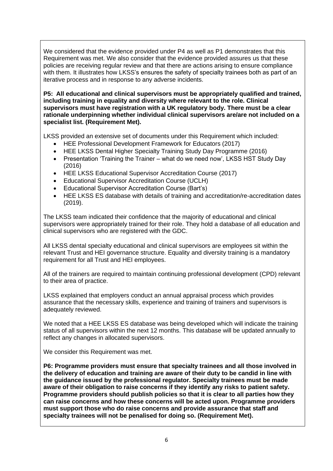We considered that the evidence provided under P4 as well as P1 demonstrates that this Requirement was met. We also consider that the evidence provided assures us that these policies are receiving regular review and that there are actions arising to ensure compliance with them. It illustrates how LKSS's ensures the safety of specialty trainees both as part of an iterative process and in response to any adverse incidents.

**P5: All educational and clinical supervisors must be appropriately qualified and trained, including training in equality and diversity where relevant to the role. Clinical supervisors must have registration with a UK regulatory body. There must be a clear rationale underpinning whether individual clinical supervisors are/are not included on a specialist list. (Requirement Met).**

LKSS provided an extensive set of documents under this Requirement which included:

- HEE Professional Development Framework for Educators (2017)
- HEE LKSS Dental Higher Specialty Training Study Day Programme (2016)
- Presentation 'Training the Trainer what do we need now', LKSS HST Study Day (2016)
- HEE LKSS Educational Supervisor Accreditation Course (2017)
- Educational Supervisor Accreditation Course (UCLH)
- Educational Supervisor Accreditation Course (Bart's)
- HEE LKSS ES database with details of training and accreditation/re-accreditation dates (2019).

The LKSS team indicated their confidence that the majority of educational and clinical supervisors were appropriately trained for their role. They hold a database of all education and clinical supervisors who are registered with the GDC.

All LKSS dental specialty educational and clinical supervisors are employees sit within the relevant Trust and HEI governance structure. Equality and diversity training is a mandatory requirement for all Trust and HEI employees.

All of the trainers are required to maintain continuing professional development (CPD) relevant to their area of practice.

LKSS explained that employers conduct an annual appraisal process which provides assurance that the necessary skills, experience and training of trainers and supervisors is adequately reviewed.

We noted that a HEE LKSS ES database was being developed which will indicate the training status of all supervisors within the next 12 months. This database will be updated annually to reflect any changes in allocated supervisors.

We consider this Requirement was met.

**P6: Programme providers must ensure that specialty trainees and all those involved in the delivery of education and training are aware of their duty to be candid in line with the guidance issued by the professional regulator. Specialty trainees must be made aware of their obligation to raise concerns if they identify any risks to patient safety. Programme providers should publish policies so that it is clear to all parties how they can raise concerns and how these concerns will be acted upon. Programme providers must support those who do raise concerns and provide assurance that staff and specialty trainees will not be penalised for doing so. (Requirement Met).**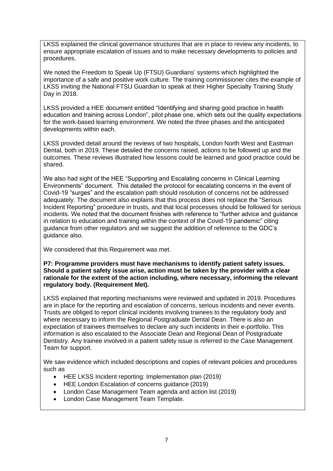LKSS explained the clinical governance structures that are in place to review any incidents, to ensure appropriate escalation of issues and to make necessary developments to policies and procedures.

We noted the Freedom to Speak Up (FTSU) Guardians' systems which highlighted the importance of a safe and positive work culture. The training commissioner cites the example of LKSS inviting the National FTSU Guardian to speak at their Higher Specialty Training Study Day in 2018.

LKSS provided a HEE document entitled "Identifying and sharing good practice in health education and training across London", pilot phase one, which sets out the quality expectations for the work-based learning environment. We noted the three phases and the anticipated developments within each.

LKSS provided detail around the reviews of two hospitals, London North West and Eastman Dental, both in 2019. These detailed the concerns raised, actions to be followed up and the outcomes. These reviews illustrated how lessons could be learned and good practice could be shared.

We also had sight of the HEE "Supporting and Escalating concerns in Clinical Learning Environments" document. This detailed the protocol for escalating concerns in the event of Covid-19 "surges" and the escalation path should resolution of concerns not be addressed adequately. The document also explains that this process does not replace the "Serious Incident Reporting" procedure in trusts, and that local processes should be followed for serious incidents. We noted that the document finishes with reference to "further advice and guidance in relation to education and training within the context of the Covid-19 pandemic" citing guidance from other regulators and we suggest the addition of reference to the GDC's guidance also.

We considered that this Requirement was met.

**P7: Programme providers must have mechanisms to identify patient safety issues. Should a patient safety issue arise, action must be taken by the provider with a clear rationale for the extent of the action including, where necessary, informing the relevant regulatory body. (Requirement Met).**

LKSS explained that reporting mechanisms were reviewed and updated in 2019. Procedures are in place for the reporting and escalation of concerns, serious incidents and never events. Trusts are obliged to report clinical incidents involving trainees to the regulatory body and where necessary to inform the Regional Postgraduate Dental Dean. There is also an expectation of trainees themselves to declare any such incidents in their e-portfolio. This information is also escalated to the Associate Dean and Regional Dean of Postgraduate Dentistry. Any trainee involved in a patient safety issue is referred to the Case Management Team for support.

We saw evidence which included descriptions and copies of relevant policies and procedures such as

- HEE LKSS Incident reporting: Implementation plan (2019)
- HEE London Escalation of concerns guidance (2019)
- London Case Management Team agenda and action list (2019)
- London Case Management Team Template.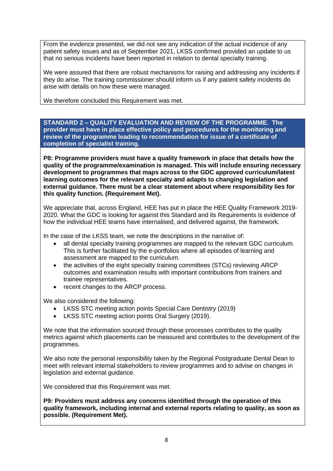From the evidence presented, we did not see any indication of the actual incidence of any patient safety issues and as of September 2021, LKSS confirmed provided an update to us that no serious incidents have been reported in relation to dental specialty training.

We were assured that there are robust mechanisms for raising and addressing any incidents if they do arise. The training commissioner should inform us if any patient safety incidents do arise with details on how these were managed.

We therefore concluded this Requirement was met.

**STANDARD 2 – QUALITY EVALUATION AND REVIEW OF THE PROGRAMME. The provider must have in place effective policy and procedures for the monitoring and review of the programme leading to recommendation for issue of a certificate of completion of specialist training.**

**P8: Programme providers must have a quality framework in place that details how the quality of the programme/examination is managed. This will include ensuring necessary development to programmes that maps across to the GDC approved curriculum/latest learning outcomes for the relevant specialty and adapts to changing legislation and external guidance. There must be a clear statement about where responsibility lies for this quality function. (Requirement Met).**

We appreciate that, across England, HEE has put in place the HEE Quality Framework 2019- 2020. What the GDC is looking for against this Standard and its Requirements is evidence of how the individual HEE teams have internalised, and delivered against, the framework.

In the case of the LKSS team, we note the descriptions in the narrative of:

- all dental specialty training programmes are mapped to the relevant GDC curriculum. This is further facilitated by the e-portfolios where all episodes of learning and assessment are mapped to the curriculum.
- the activities of the eight specialty training committees (STCs) reviewing ARCP outcomes and examination results with important contributions from trainers and trainee representatives.
- recent changes to the ARCP process.

We also considered the following:

- LKSS STC meeting action points Special Care Dentistry (2019)
- LKSS STC meeting action points Oral Surgery (2019).

We note that the information sourced through these processes contributes to the quality metrics against which placements can be measured and contributes to the development of the programmes.

We also note the personal responsibility taken by the Regional Postgraduate Dental Dean to meet with relevant internal stakeholders to review programmes and to advise on changes in legislation and external guidance.

We considered that this Requirement was met.

**P9: Providers must address any concerns identified through the operation of this quality framework, including internal and external reports relating to quality, as soon as possible. (Requirement Met).**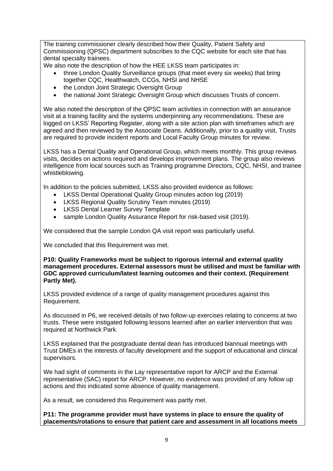The training commissioner clearly described how their Quality, Patient Safety and Commissioning (QPSC) department subscribes to the CQC website for each site that has dental specialty trainees.

We also note the description of how the HEE LKSS team participates in:

- three London Quality Surveillance groups (that meet every six weeks) that bring together CQC, Healthwatch, CCGs, NHSI and NHSE
- the London Joint Strategic Oversight Group
- the national Joint Strategic Oversight Group which discusses Trusts of concern.

We also noted the description of the QPSC team activities in connection with an assurance visit at a training facility and the systems underpinning any recommendations. These are logged on LKSS' Reporting Register, along with a site action plan with timeframes which are agreed and then reviewed by the Associate Deans. Additionally, prior to a quality visit, Trusts are required to provide incident reports and Local Faculty Group minutes for review.

LKSS has a Dental Quality and Operational Group, which meets monthly. This group reviews visits, decides on actions required and develops improvement plans. The group also reviews intelligence from local sources such as Training programme Directors, CQC, NHSI, and trainee whistleblowing.

In addition to the policies submitted, LKSS also provided evidence as follows:

- LKSS Dental Operational Quality Group minutes action log (2019)
- LKSS Regional Quality Scrutiny Team minutes (2019)
- LKSS Dental Learner Survey Template
- sample London Quality Assurance Report for risk-based visit (2019).

We considered that the sample London QA visit report was particularly useful.

We concluded that this Requirement was met.

**P10: Quality Frameworks must be subject to rigorous internal and external quality management procedures. External assessors must be utilised and must be familiar with GDC approved curriculum/latest learning outcomes and their context. (Requirement Partly Met).**

LKSS provided evidence of a range of quality management procedures against this Requirement.

As discussed in P6, we received details of two follow-up exercises relating to concerns at two trusts. These were instigated following lessons learned after an earlier intervention that was required at Northwick Park.

LKSS explained that the postgraduate dental dean has introduced biannual meetings with Trust DMEs in the interests of faculty development and the support of educational and clinical supervisors.

We had sight of comments in the Lay representative report for ARCP and the External representative (SAC) report for ARCP. However, no evidence was provided of any follow up actions and this indicated some absence of quality management.

As a result, we considered this Requirement was partly met.

**P11: The programme provider must have systems in place to ensure the quality of placements/rotations to ensure that patient care and assessment in all locations meets**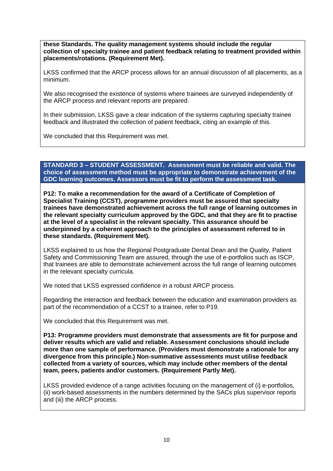**these Standards. The quality management systems should include the regular collection of specialty trainee and patient feedback relating to treatment provided within placements/rotations. (Requirement Met).**

LKSS confirmed that the ARCP process allows for an annual discussion of all placements, as a minimum.

We also recognised the existence of systems where trainees are surveyed independently of the ARCP process and relevant reports are prepared.

In their submission, LKSS gave a clear indication of the systems capturing specialty trainee feedback and illustrated the collection of patient feedback, citing an example of this.

We concluded that this Requirement was met.

**STANDARD 3 – STUDENT ASSESSMENT. Assessment must be reliable and valid. The choice of assessment method must be appropriate to demonstrate achievement of the GDC learning outcomes. Assessors must be fit to perform the assessment task.**

**P12: To make a recommendation for the award of a Certificate of Completion of Specialist Training (CCST), programme providers must be assured that specialty trainees have demonstrated achievement across the full range of learning outcomes in the relevant specialty curriculum approved by the GDC, and that they are fit to practise at the level of a specialist in the relevant specialty. This assurance should be underpinned by a coherent approach to the principles of assessment referred to in these standards. (Requirement Met).**

LKSS explained to us how the Regional Postgraduate Dental Dean and the Quality, Patient Safety and Commissioning Team are assured, through the use of e-portfolios such as ISCP, that trainees are able to demonstrate achievement across the full range of learning outcomes in the relevant specialty curricula.

We noted that LKSS expressed confidence in a robust ARCP process.

Regarding the interaction and feedback between the education and examination providers as part of the recommendation of a CCST to a trainee, refer to P19.

We concluded that this Requirement was met.

**P13: Programme providers must demonstrate that assessments are fit for purpose and deliver results which are valid and reliable. Assessment conclusions should include more than one sample of performance. (Providers must demonstrate a rationale for any divergence from this principle.) Non-summative assessments must utilise feedback collected from a variety of sources, which may include other members of the dental team, peers, patients and/or customers. (Requirement Partly Met).**

LKSS provided evidence of a range activities focusing on the management of (i) e-portfolios, (ii) work-based assessments in the numbers determined by the SACs plus supervisor reports and (iii) the ARCP process.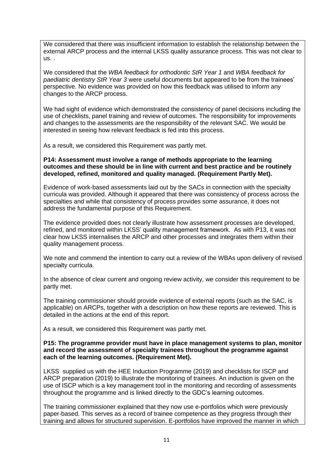We considered that there was insufficient information to establish the relationship between the external ARCP process and the internal LKSS quality assurance process. This was not clear to us. .

We considered that the *WBA feedback for orthodontic StR Year 1* and *WBA feedback for paediatric dentistry StR Year 3* were useful documents but appeared to be from the trainees' perspective. No evidence was provided on how this feedback was utilised to inform any changes to the ARCP process.

We had sight of evidence which demonstrated the consistency of panel decisions including the use of checklists, panel training and review of outcomes. The responsibility for improvements and changes to the assessments are the responsibility of the relevant SAC. We would be interested in seeing how relevant feedback is fed into this process.

As a result, we considered this Requirement was partly met.

#### **P14: Assessment must involve a range of methods appropriate to the learning outcomes and these should be in line with current and best practice and be routinely developed, refined, monitored and quality managed. (Requirement Partly Met).**

Evidence of work-based assessments laid out by the SACs in connection with the specialty curricula was provided. Although it appeared that there was consistency of process across the specialties and while that consistency of process provides some assurance, it does not address the fundamental purpose of this Requirement.

The evidence provided does not clearly illustrate how assessment processes are developed, refined, and monitored within LKSS' quality management framework. As with P13, it was not clear how LKSS internalises the ARCP and other processes and integrates them within their quality management process.

We note and commend the intention to carry out a review of the WBAs upon delivery of revised specialty curricula.

In the absence of clear current and ongoing review activity, we consider this requirement to be partly met.

The training commissioner should provide evidence of external reports (such as the SAC, is applicable) on ARCPs, together with a description on how these reports are reviewed. This is detailed in the actions at the end of this report.

As a result, we considered this Requirement was partly met.

#### **P15: The programme provider must have in place management systems to plan, monitor and record the assessment of specialty trainees throughout the programme against each of the learning outcomes. (Requirement Met).**

LKSS supplied us with the HEE Induction Programme (2019) and checklists for ISCP and ARCP preparation (2019) to illustrate the monitoring of trainees. An induction is given on the use of ISCP which is a key management tool in the monitoring and recording of assessments throughout the programme and is linked directly to the GDC's learning outcomes.

The training commissioner explained that they now use e-portfolios which were previously paper-based. This serves as a record of trainee competence as they progress through their training and allows for structured supervision. E-portfolios have improved the manner in which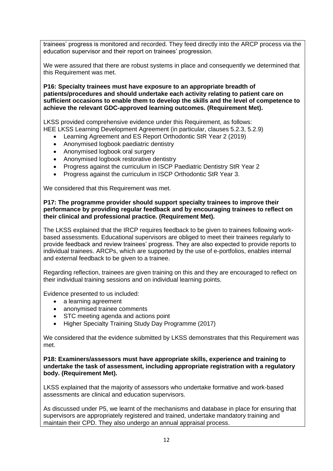trainees' progress is monitored and recorded. They feed directly into the ARCP process via the education supervisor and their report on trainees' progression.

We were assured that there are robust systems in place and consequently we determined that this Requirement was met.

**P16: Specialty trainees must have exposure to an appropriate breadth of patients/procedures and should undertake each activity relating to patient care on sufficient occasions to enable them to develop the skills and the level of competence to achieve the relevant GDC-approved learning outcomes. (Requirement Met).**

LKSS provided comprehensive evidence under this Requirement, as follows: HEE LKSS Learning Development Agreement (in particular, clauses 5.2.3, 5.2.9)

- Learning Agreement and ES Report Orthodontic StR Year 2 (2019)
- Anonymised logbook paediatric dentistry
- Anonymised logbook oral surgery
- Anonymised logbook restorative dentistry
- Progress against the curriculum in ISCP Paediatric Dentistry StR Year 2
- Progress against the curriculum in ISCP Orthodontic StR Year 3.

We considered that this Requirement was met.

#### **P17: The programme provider should support specialty trainees to improve their performance by providing regular feedback and by encouraging trainees to reflect on their clinical and professional practice. (Requirement Met).**

The LKSS explained that the IRCP requires feedback to be given to trainees following workbased assessments. Educational supervisors are obliged to meet their trainees regularly to provide feedback and review trainees' progress. They are also expected to provide reports to individual trainees. ARCPs, which are supported by the use of e-portfolios, enables internal and external feedback to be given to a trainee.

Regarding reflection, trainees are given training on this and they are encouraged to reflect on their individual training sessions and on individual learning points.

Evidence presented to us included:

- a learning agreement
- anonymised trainee comments
- STC meeting agenda and actions point
- Higher Specialty Training Study Day Programme (2017)

We considered that the evidence submitted by LKSS demonstrates that this Requirement was met.

**P18: Examiners/assessors must have appropriate skills, experience and training to undertake the task of assessment, including appropriate registration with a regulatory body. (Requirement Met).**

LKSS explained that the majority of assessors who undertake formative and work-based assessments are clinical and education supervisors.

As discussed under P5, we learnt of the mechanisms and database in place for ensuring that supervisors are appropriately registered and trained, undertake mandatory training and maintain their CPD. They also undergo an annual appraisal process.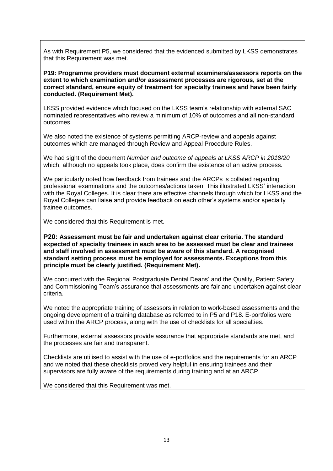As with Requirement P5, we considered that the evidenced submitted by LKSS demonstrates that this Requirement was met.

**P19: Programme providers must document external examiners/assessors reports on the extent to which examination and/or assessment processes are rigorous, set at the correct standard, ensure equity of treatment for specialty trainees and have been fairly conducted. (Requirement Met).**

LKSS provided evidence which focused on the LKSS team's relationship with external SAC nominated representatives who review a minimum of 10% of outcomes and all non-standard outcomes.

We also noted the existence of systems permitting ARCP-review and appeals against outcomes which are managed through Review and Appeal Procedure Rules.

We had sight of the document *Number and outcome of appeals at LKSS ARCP in 2018/20* which, although no appeals took place, does confirm the existence of an active process.

We particularly noted how feedback from trainees and the ARCPs is collated regarding professional examinations and the outcomes/actions taken. This illustrated LKSS' interaction with the Royal Colleges. It is clear there are effective channels through which for LKSS and the Royal Colleges can liaise and provide feedback on each other's systems and/or specialty trainee outcomes.

We considered that this Requirement is met.

**P20: Assessment must be fair and undertaken against clear criteria. The standard expected of specialty trainees in each area to be assessed must be clear and trainees and staff involved in assessment must be aware of this standard. A recognised standard setting process must be employed for assessments. Exceptions from this principle must be clearly justified. (Requirement Met).**

We concurred with the Regional Postgraduate Dental Deans' and the Quality, Patient Safety and Commissioning Team's assurance that assessments are fair and undertaken against clear criteria.

We noted the appropriate training of assessors in relation to work-based assessments and the ongoing development of a training database as referred to in P5 and P18. E-portfolios were used within the ARCP process, along with the use of checklists for all specialties.

Furthermore, external assessors provide assurance that appropriate standards are met, and the processes are fair and transparent.

Checklists are utilised to assist with the use of e-portfolios and the requirements for an ARCP and we noted that these checklists proved very helpful in ensuring trainees and their supervisors are fully aware of the requirements during training and at an ARCP.

We considered that this Requirement was met.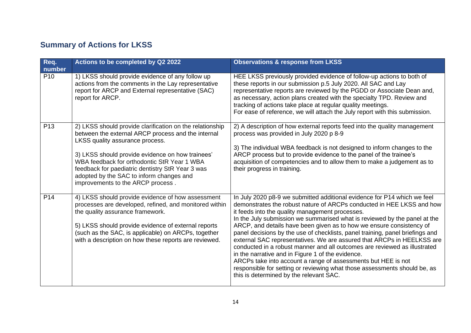# **Summary of Actions for LKSS**

| Req.                      | Actions to be completed by Q2 2022                                                                                                                                                                                                                                                                                                                                                        | <b>Observations &amp; response from LKSS</b>                                                                                                                                                                                                                                                                                                                                                                                                                                                                                                                                                                                                                                                                                                                                                                                                    |
|---------------------------|-------------------------------------------------------------------------------------------------------------------------------------------------------------------------------------------------------------------------------------------------------------------------------------------------------------------------------------------------------------------------------------------|-------------------------------------------------------------------------------------------------------------------------------------------------------------------------------------------------------------------------------------------------------------------------------------------------------------------------------------------------------------------------------------------------------------------------------------------------------------------------------------------------------------------------------------------------------------------------------------------------------------------------------------------------------------------------------------------------------------------------------------------------------------------------------------------------------------------------------------------------|
| number<br>P <sub>10</sub> | 1) LKSS should provide evidence of any follow up<br>actions from the comments in the Lay representative<br>report for ARCP and External representative (SAC)<br>report for ARCP.                                                                                                                                                                                                          | HEE LKSS previously provided evidence of follow-up actions to both of<br>these reports in our submission p.5 July 2020. All SAC and Lay<br>representative reports are reviewed by the PGDD or Associate Dean and,<br>as necessary, action plans created with the specialty TPD. Review and<br>tracking of actions take place at regular quality meetings.<br>For ease of reference, we will attach the July report with this submission.                                                                                                                                                                                                                                                                                                                                                                                                        |
| P <sub>13</sub>           | 2) LKSS should provide clarification on the relationship<br>between the external ARCP process and the internal<br>LKSS quality assurance process.<br>3) LKSS should provide evidence on how trainees'<br>WBA feedback for orthodontic StR Year 1 WBA<br>feedback for paediatric dentistry StR Year 3 was<br>adopted by the SAC to inform changes and<br>improvements to the ARCP process. | 2) A description of how external reports feed into the quality management<br>process was provided in July 2020 p 8-9<br>3) The individual WBA feedback is not designed to inform changes to the<br>ARCP process but to provide evidence to the panel of the trainee's<br>acquisition of competencies and to allow them to make a judgement as to<br>their progress in training.                                                                                                                                                                                                                                                                                                                                                                                                                                                                 |
| P <sub>14</sub>           | 4) LKSS should provide evidence of how assessment<br>processes are developed, refined, and monitored within<br>the quality assurance framework.<br>5) LKSS should provide evidence of external reports<br>(such as the SAC, is applicable) on ARCPs, together<br>with a description on how these reports are reviewed.                                                                    | In July 2020 p8-9 we submitted additional evidence for P14 which we feel<br>demonstrates the robust nature of ARCPs conducted in HEE LKSS and how<br>it feeds into the quality management processes.<br>In the July submission we summarised what is reviewed by the panel at the<br>ARCP, and details have been given as to how we ensure consistency of<br>panel decisions by the use of checklists, panel training, panel briefings and<br>external SAC representatives. We are assured that ARCPs in HEELKSS are<br>conducted in a robust manner and all outcomes are reviewed as illustrated<br>in the narrative and in Figure 1 of the evidence.<br>ARCPs take into account a range of assessments but HEE is not<br>responsible for setting or reviewing what those assessments should be, as<br>this is determined by the relevant SAC. |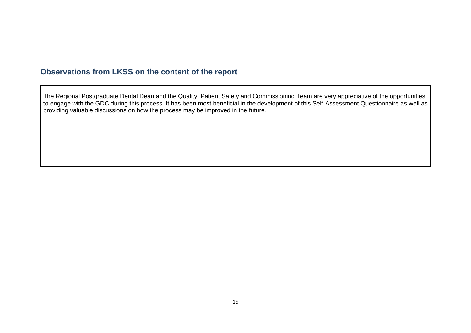### **Observations from LKSS on the content of the report**

The Regional Postgraduate Dental Dean and the Quality, Patient Safety and Commissioning Team are very appreciative of the opportunities to engage with the GDC during this process. It has been most beneficial in the development of this Self-Assessment Questionnaire as well as providing valuable discussions on how the process may be improved in the future.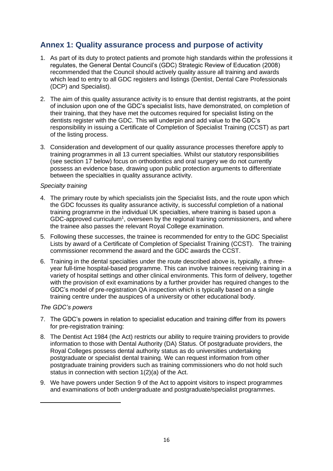## **Annex 1: Quality assurance process and purpose of activity**

- 1. As part of its duty to protect patients and promote high standards within the professions it regulates, the General Dental Council's (GDC) Strategic Review of Education (2008) recommended that the Council should actively quality assure all training and awards which lead to entry to all GDC registers and listings (Dentist, Dental Care Professionals (DCP) and Specialist).
- 2. The aim of this quality assurance activity is to ensure that dentist registrants, at the point of inclusion upon one of the GDC's specialist lists, have demonstrated, on completion of their training, that they have met the outcomes required for specialist listing on the dentists register with the GDC. This will underpin and add value to the GDC's responsibility in issuing a Certificate of Completion of Specialist Training (CCST) as part of the listing process.
- 3. Consideration and development of our quality assurance processes therefore apply to training programmes in all 13 current specialties. Whilst our statutory responsibilities (see section 17 below) focus on orthodontics and oral surgery we do not currently possess an evidence base, drawing upon public protection arguments to differentiate between the specialties in quality assurance activity.

#### *Specialty training*

- 4. The primary route by which specialists join the Specialist lists, and the route upon which the GDC focusses its quality assurance activity, is successful completion of a national training programme in the individual UK specialties, where training is based upon a GDC-approved curriculum<sup>1</sup>, overseen by the regional training commissioners, and where the trainee also passes the relevant Royal College examination.
- 5. Following these successes, the trainee is recommended for entry to the GDC Specialist Lists by award of a Certificate of Completion of Specialist Training (CCST). The training commissioner recommend the award and the GDC awards the CCST.
- 6. Training in the dental specialties under the route described above is, typically, a threeyear full-time hospital-based programme. This can involve trainees receiving training in a variety of hospital settings and other clinical environments. This form of delivery, together with the provision of exit examinations by a further provider has required changes to the GDC's model of pre-registration QA inspection which is typically based on a single training centre under the auspices of a university or other educational body.

#### *The GDC's powers*

- 7. The GDC's powers in relation to specialist education and training differ from its powers for pre-registration training:
- 8. The Dentist Act 1984 (the Act) restricts our ability to require training providers to provide information to those with Dental Authority (DA) Status. Of postgraduate providers, the Royal Colleges possess dental authority status as do universities undertaking postgraduate or specialist dental training. We can request information from other postgraduate training providers such as training commissioners who do not hold such status in connection with section 1(2)(a) of the Act.
- 9. We have powers under Section 9 of the Act to appoint visitors to inspect programmes and examinations of both undergraduate and postgraduate/specialist programmes.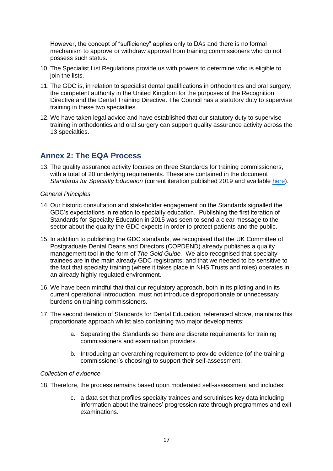However, the concept of "sufficiency" applies only to DAs and there is no formal mechanism to approve or withdraw approval from training commissioners who do not possess such status.

- 10. The Specialist List Regulations provide us with powers to determine who is eligible to join the lists.
- 11. The GDC is, in relation to specialist dental qualifications in orthodontics and oral surgery, the competent authority in the United Kingdom for the purposes of the Recognition Directive and the Dental Training Directive. The Council has a statutory duty to supervise training in these two specialties.
- 12. We have taken legal advice and have established that our statutory duty to supervise training in orthodontics and oral surgery can support quality assurance activity across the 13 specialties.

### **Annex 2: The EQA Process**

13. The quality assurance activity focuses on three Standards for training commissioners, with a total of 20 underlying requirements. These are contained in the document *Standards for Specialty Education* (current iteration published 2019 and available [here\)](https://www.gdc-uk.org/professionals/specialist-lists).

#### *General Principles*

- 14. Our historic consultation and stakeholder engagement on the Standards signalled the GDC's expectations in relation to specialty education. Publishing the first iteration of Standards for Specialty Education in 2015 was seen to send a clear message to the sector about the quality the GDC expects in order to protect patients and the public.
- 15. In addition to publishing the GDC standards, we recognised that the UK Committee of Postgraduate Dental Deans and Directors (COPDEND) already publishes a quality management tool in the form of *The Gold Guide.* We also recognised that specialty trainees are in the main already GDC registrants; and that we needed to be sensitive to the fact that specialty training (where it takes place in NHS Trusts and roles) operates in an already highly regulated environment.
- 16. We have been mindful that that our regulatory approach, both in its piloting and in its current operational introduction, must not introduce disproportionate or unnecessary burdens on training commissioners.
- 17. The second iteration of Standards for Dental Education, referenced above, maintains this proportionate approach whilst also containing two major developments:
	- a. Separating the Standards so there are discrete requirements for training commissioners and examination providers.
	- b. Introducing an overarching requirement to provide evidence (of the training commissioner's choosing) to support their self-assessment.

#### *Collection of evidence*

- 18. Therefore, the process remains based upon moderated self-assessment and includes:
	- c. a data set that profiles specialty trainees and scrutinises key data including information about the trainees' progression rate through programmes and exit examinations.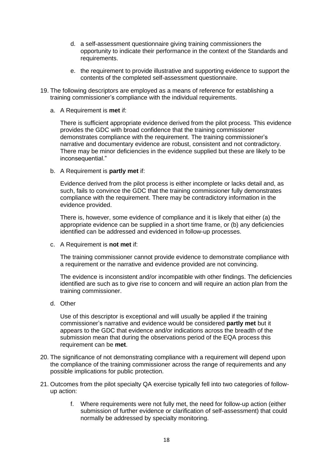- d. a self-assessment questionnaire giving training commissioners the opportunity to indicate their performance in the context of the Standards and requirements.
- e. the requirement to provide illustrative and supporting evidence to support the contents of the completed self-assessment questionnaire.
- 19. The following descriptors are employed as a means of reference for establishing a training commissioner's compliance with the individual requirements.
	- a. A Requirement is **met** if:

There is sufficient appropriate evidence derived from the pilot process. This evidence provides the GDC with broad confidence that the training commissioner demonstrates compliance with the requirement. The training commissioner's narrative and documentary evidence are robust, consistent and not contradictory. There may be minor deficiencies in the evidence supplied but these are likely to be inconsequential."

b. A Requirement is **partly met** if:

Evidence derived from the pilot process is either incomplete or lacks detail and, as such, fails to convince the GDC that the training commissioner fully demonstrates compliance with the requirement. There may be contradictory information in the evidence provided.

There is, however, some evidence of compliance and it is likely that either (a) the appropriate evidence can be supplied in a short time frame, or (b) any deficiencies identified can be addressed and evidenced in follow-up processes.

c. A Requirement is **not met** if:

The training commissioner cannot provide evidence to demonstrate compliance with a requirement or the narrative and evidence provided are not convincing.

The evidence is inconsistent and/or incompatible with other findings. The deficiencies identified are such as to give rise to concern and will require an action plan from the training commissioner.

d. Other

Use of this descriptor is exceptional and will usually be applied if the training commissioner's narrative and evidence would be considered **partly met** but it appears to the GDC that evidence and/or indications across the breadth of the submission mean that during the observations period of the EQA process this requirement can be **met**.

- 20. The significance of not demonstrating compliance with a requirement will depend upon the compliance of the training commissioner across the range of requirements and any possible implications for public protection.
- 21. Outcomes from the pilot specialty QA exercise typically fell into two categories of followup action:
	- f. Where requirements were not fully met, the need for follow-up action (either submission of further evidence or clarification of self-assessment) that could normally be addressed by specialty monitoring.